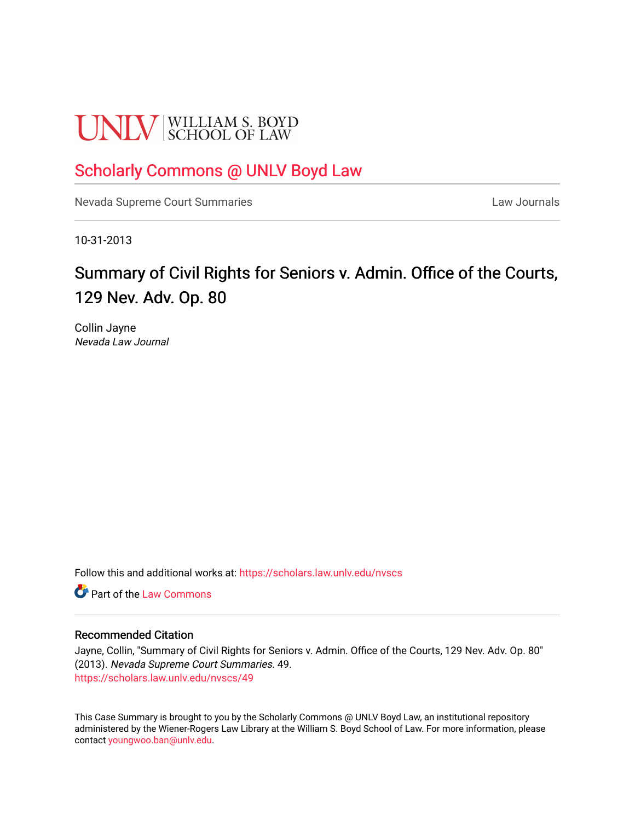# **UNLV** SCHOOL OF LAW

### [Scholarly Commons @ UNLV Boyd Law](https://scholars.law.unlv.edu/)

[Nevada Supreme Court Summaries](https://scholars.law.unlv.edu/nvscs) **Law Journals** Law Journals

10-31-2013

## Summary of Civil Rights for Seniors v. Admin. Office of the Courts, 129 Nev. Adv. Op. 80

Collin Jayne Nevada Law Journal

Follow this and additional works at: [https://scholars.law.unlv.edu/nvscs](https://scholars.law.unlv.edu/nvscs?utm_source=scholars.law.unlv.edu%2Fnvscs%2F49&utm_medium=PDF&utm_campaign=PDFCoverPages)

**C** Part of the [Law Commons](http://network.bepress.com/hgg/discipline/578?utm_source=scholars.law.unlv.edu%2Fnvscs%2F49&utm_medium=PDF&utm_campaign=PDFCoverPages)

#### Recommended Citation

Jayne, Collin, "Summary of Civil Rights for Seniors v. Admin. Office of the Courts, 129 Nev. Adv. Op. 80" (2013). Nevada Supreme Court Summaries. 49. [https://scholars.law.unlv.edu/nvscs/49](https://scholars.law.unlv.edu/nvscs/49?utm_source=scholars.law.unlv.edu%2Fnvscs%2F49&utm_medium=PDF&utm_campaign=PDFCoverPages) 

This Case Summary is brought to you by the Scholarly Commons @ UNLV Boyd Law, an institutional repository administered by the Wiener-Rogers Law Library at the William S. Boyd School of Law. For more information, please contact [youngwoo.ban@unlv.edu](mailto:youngwoo.ban@unlv.edu).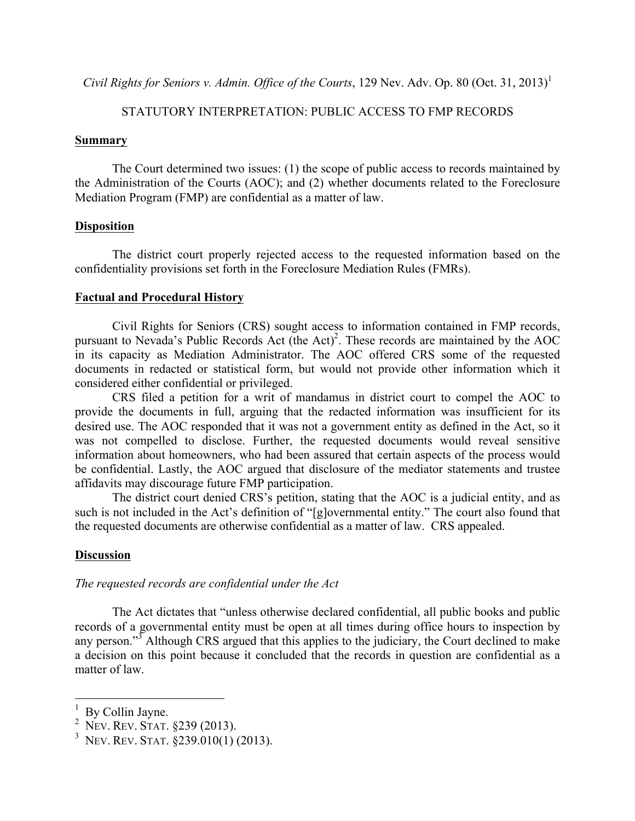*Civil Rights for Seniors v. Admin. Office of the Courts*, 129 Nev. Adv. Op. 80 (Oct. 31, 2013)<sup>1</sup>

#### STATUTORY INTERPRETATION: PUBLIC ACCESS TO FMP RECORDS

#### **Summary**

The Court determined two issues: (1) the scope of public access to records maintained by the Administration of the Courts (AOC); and (2) whether documents related to the Foreclosure Mediation Program (FMP) are confidential as a matter of law.

#### **Disposition**

The district court properly rejected access to the requested information based on the confidentiality provisions set forth in the Foreclosure Mediation Rules (FMRs).

#### **Factual and Procedural History**

Civil Rights for Seniors (CRS) sought access to information contained in FMP records, pursuant to Nevada's Public Records Act (the Act)<sup>2</sup>. These records are maintained by the AOC in its capacity as Mediation Administrator. The AOC offered CRS some of the requested documents in redacted or statistical form, but would not provide other information which it considered either confidential or privileged.

CRS filed a petition for a writ of mandamus in district court to compel the AOC to provide the documents in full, arguing that the redacted information was insufficient for its desired use. The AOC responded that it was not a government entity as defined in the Act, so it was not compelled to disclose. Further, the requested documents would reveal sensitive information about homeowners, who had been assured that certain aspects of the process would be confidential. Lastly, the AOC argued that disclosure of the mediator statements and trustee affidavits may discourage future FMP participation.

The district court denied CRS's petition, stating that the AOC is a judicial entity, and as such is not included in the Act's definition of "[g]overnmental entity." The court also found that the requested documents are otherwise confidential as a matter of law. CRS appealed.

#### **Discussion**

#### *The requested records are confidential under the Act*

The Act dictates that "unless otherwise declared confidential, all public books and public records of a governmental entity must be open at all times during office hours to inspection by any person."<sup>3</sup> Although CRS argued that this applies to the judiciary, the Court declined to make a decision on this point because it concluded that the records in question are confidential as a matter of law.

 $\frac{1}{1}$  By Collin Jayne.

<sup>2</sup> NEV. REV. STAT. §239 (2013).

<sup>3</sup> NEV. REV. STAT. §239.010(1) (2013).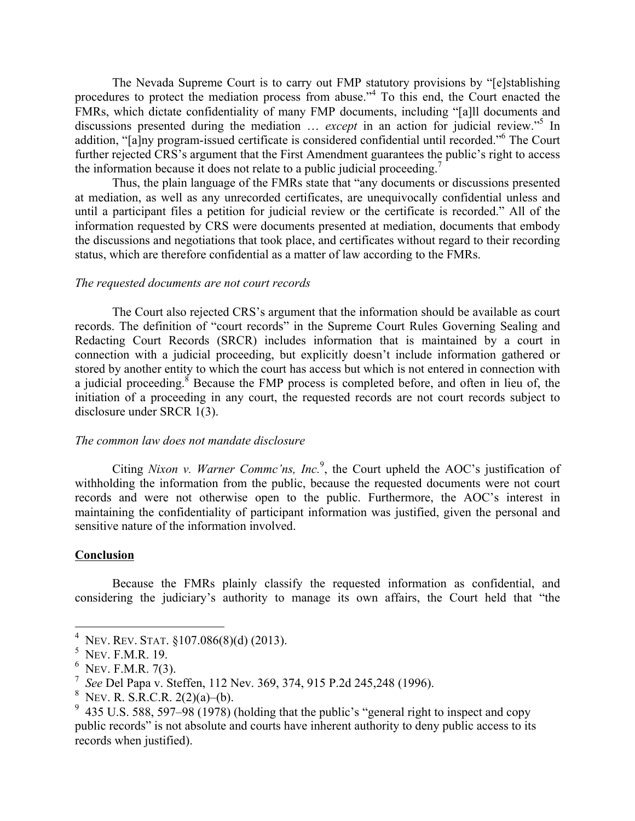The Nevada Supreme Court is to carry out FMP statutory provisions by "[e]stablishing procedures to protect the mediation process from abuse."<sup>4</sup> To this end, the Court enacted the FMRs, which dictate confidentiality of many FMP documents, including "[a]ll documents and discussions presented during the mediation … *except* in an action for judicial review." <sup>5</sup> In addition, "[a]ny program-issued certificate is considered confidential until recorded."<sup>6</sup> The Court further rejected CRS's argument that the First Amendment guarantees the public's right to access the information because it does not relate to a public judicial proceeding.<sup>7</sup>

Thus, the plain language of the FMRs state that "any documents or discussions presented at mediation, as well as any unrecorded certificates, are unequivocally confidential unless and until a participant files a petition for judicial review or the certificate is recorded." All of the information requested by CRS were documents presented at mediation, documents that embody the discussions and negotiations that took place, and certificates without regard to their recording status, which are therefore confidential as a matter of law according to the FMRs.

#### *The requested documents are not court records*

The Court also rejected CRS's argument that the information should be available as court records. The definition of "court records" in the Supreme Court Rules Governing Sealing and Redacting Court Records (SRCR) includes information that is maintained by a court in connection with a judicial proceeding, but explicitly doesn't include information gathered or stored by another entity to which the court has access but which is not entered in connection with a judicial proceeding.<sup>8</sup> Because the FMP process is completed before, and often in lieu of, the initiation of a proceeding in any court, the requested records are not court records subject to disclosure under SRCR 1(3).

#### *The common law does not mandate disclosure*

Citing *Nixon v. Warner Commc'ns, Inc.*<sup>9</sup>, the Court upheld the AOC's justification of withholding the information from the public, because the requested documents were not court records and were not otherwise open to the public. Furthermore, the AOC's interest in maintaining the confidentiality of participant information was justified, given the personal and sensitive nature of the information involved.

#### **Conclusion**

Because the FMRs plainly classify the requested information as confidential, and considering the judiciary's authority to manage its own affairs, the Court held that "the

 <sup>4</sup> NEV. REV. STAT. §107.086(8)(d) (2013).

<sup>&</sup>lt;sup>5</sup> Nev. F.M.R. 19.

<sup>&</sup>lt;sup>6</sup> Nev. F.M.R. 7(3).

<sup>7</sup> *See* Del Papa v. Steffen, 112 Nev. 369, 374, 915 P.2d 245,248 (1996).

<sup>&</sup>lt;sup>8</sup> Nev. R. S.R.C.R. 2(2)(a)–(b).<br><sup>9</sup> 125 U.S. 500, 507, 09 (1079).

<sup>&</sup>lt;sup>9</sup> 435 U.S. 588, 597–98 (1978) (holding that the public's "general right to inspect and copy public records" is not absolute and courts have inherent authority to deny public access to its records when justified).